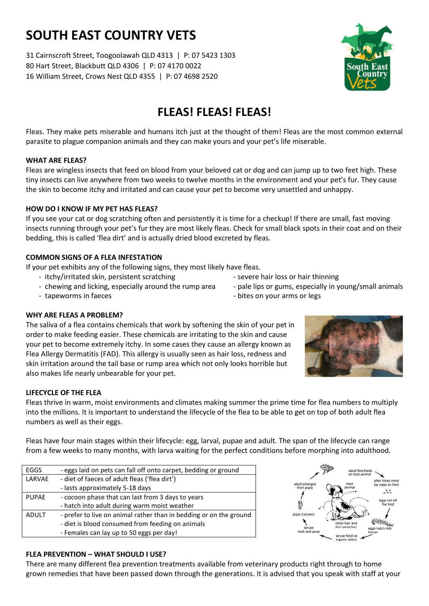# **SOUTH EAST COUNTRY VETS**

31 Cairnscroft Street, Toogoolawah QLD 4313 | P: 07 5423 1303 80 Hart Street, Blackbutt QLD 4306 | P: 07 4170 0022 16 William Street, Crows Nest QLD 4355 | P: 07 4698 2520

## **FLEAS! FLEAS! FLEAS!**

Fleas. They make pets miserable and humans itch just at the thought of them! Fleas are the most common external parasite to plague companion animals and they can make yours and your pet's life miserable.

### **WHAT ARE FLEAS?**

Fleas are wingless insects that feed on blood from your beloved cat or dog and can jump up to two feet high. These tiny insects can live anywhere from two weeks to twelve months in the environment and your pet's fur. They cause the skin to become itchy and irritated and can cause your pet to become very unsettled and unhappy.

### **HOW DO I KNOW IF MY PET HAS FLEAS?**

If you see your cat or dog scratching often and persistently it is time for a checkup! If there are small, fast moving insects running through your pet's fur they are most likely fleas. Check for small black spots in their coat and on their bedding, this is called 'flea dirt' and is actually dried blood excreted by fleas.

### **COMMON SIGNS OF A FLEA INFESTATION**

If your pet exhibits any of the following signs, they most likely have fleas.

- itchy/irritated skin, persistent scratching entitled a severe hair loss or hair thinning
- chewing and licking, especially around the rump area pale lips or gums, especially in young/small animals

EGGS - eggs laid on pets can fall off onto carpet, bedding or ground

- hatch into adult during warm moist weather ADULT - prefer to live on animal rather than in bedding or on the ground - diet is blood consumed from feeding on animals

- Females can lay up to 50 eggs per day!

LARVAE - diet of faeces of adult fleas ('flea dirt') - lasts approximately 5-18 days PUPAE - cocoon phase that can last from 3 days to years

- tapeworms in faeces  $\overline{a}$  bites on your arms or legs

### **WHY ARE FLEAS A PROBLEM?**

The saliva of a flea contains chemicals that work by softening the skin of your pet in order to make feeding easier. These chemicals are irritating to the skin and cause your pet to become extremely itchy. In some cases they cause an allergy known as Flea Allergy Dermatitis (FAD). This allergy is usually seen as hair loss, redness and skin irritation around the tail base or rump area which not only looks horrible but also makes life nearly unbearable for your pet.

### **LIFECYCLE OF THE FLEA**

Fleas thrive in warm, moist environments and climates making summer the prime time for flea numbers to multiply into the millions. It is important to understand the lifecycle of the flea to be able to get on top of both adult flea numbers as well as their eggs.

Fleas have four main stages within their lifecycle: egg, larval, pupae and adult. The span of the lifecycle can range from a few weeks to many months, with larva waiting for the perfect conditions before morphing into adulthood.

| <b>FLEA PREVENTION - WHAT SHOULD I USE?</b>                                                                        |
|--------------------------------------------------------------------------------------------------------------------|
| There are many different flea prevention treatments available from veterinary products right through to home       |
| grown remedies that have been passed down through the generations. It is advised that you speak with staff at your |